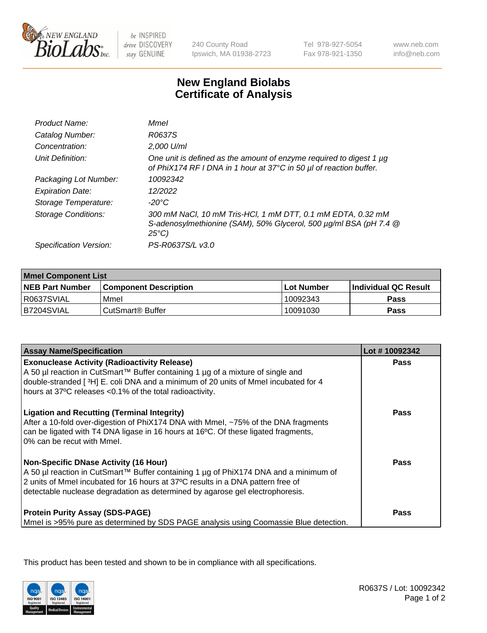

be INSPIRED drive DISCOVERY stay GENUINE

240 County Road Ipswich, MA 01938-2723 Tel 978-927-5054 Fax 978-921-1350

www.neb.com info@neb.com

## **New England Biolabs Certificate of Analysis**

| Product Name:              | Mmel                                                                                                                                                |
|----------------------------|-----------------------------------------------------------------------------------------------------------------------------------------------------|
| Catalog Number:            | R0637S                                                                                                                                              |
| Concentration:             | 2,000 U/ml                                                                                                                                          |
| Unit Definition:           | One unit is defined as the amount of enzyme required to digest 1 µg<br>of PhiX174 RF I DNA in 1 hour at 37°C in 50 µl of reaction buffer.           |
| Packaging Lot Number:      | 10092342                                                                                                                                            |
| <b>Expiration Date:</b>    | 12/2022                                                                                                                                             |
| Storage Temperature:       | -20°C                                                                                                                                               |
| <b>Storage Conditions:</b> | 300 mM NaCl, 10 mM Tris-HCl, 1 mM DTT, 0.1 mM EDTA, 0.32 mM<br>S-adenosylmethionine (SAM), 50% Glycerol, 500 µg/ml BSA (pH 7.4 @<br>$25^{\circ}C$ ) |
| Specification Version:     | PS-R0637S/L v3.0                                                                                                                                    |
|                            |                                                                                                                                                     |

| <b>Mmel Component List</b> |                              |                   |                       |  |
|----------------------------|------------------------------|-------------------|-----------------------|--|
| <b>NEB Part Number</b>     | <b>Component Description</b> | <b>Lot Number</b> | ∣Individual QC Result |  |
| R0637SVIAL                 | Mmel                         | 10092343          | Pass                  |  |
| I B7204SVIAL               | CutSmart® Buffer             | 10091030          | Pass                  |  |

| <b>Assay Name/Specification</b>                                                                                                                                                                                                                                                                          | Lot #10092342 |
|----------------------------------------------------------------------------------------------------------------------------------------------------------------------------------------------------------------------------------------------------------------------------------------------------------|---------------|
| <b>Exonuclease Activity (Radioactivity Release)</b><br>A 50 µl reaction in CutSmart™ Buffer containing 1 µg of a mixture of single and<br>double-stranded [3H] E. coli DNA and a minimum of 20 units of Mmel incubated for 4<br>hours at 37°C releases <0.1% of the total radioactivity.                 | Pass          |
| <b>Ligation and Recutting (Terminal Integrity)</b><br>After a 10-fold over-digestion of PhiX174 DNA with Mmel, ~75% of the DNA fragments<br>can be ligated with T4 DNA ligase in 16 hours at 16°C. Of these ligated fragments,<br>0% can be recut with Mmel.                                             | Pass          |
| <b>Non-Specific DNase Activity (16 Hour)</b><br>A 50 µl reaction in CutSmart™ Buffer containing 1 µg of PhiX174 DNA and a minimum of<br>2 units of Mmel incubated for 16 hours at 37°C results in a DNA pattern free of<br>detectable nuclease degradation as determined by agarose gel electrophoresis. | Pass          |
| <b>Protein Purity Assay (SDS-PAGE)</b><br>Mmel is >95% pure as determined by SDS PAGE analysis using Coomassie Blue detection.                                                                                                                                                                           | Pass          |

This product has been tested and shown to be in compliance with all specifications.